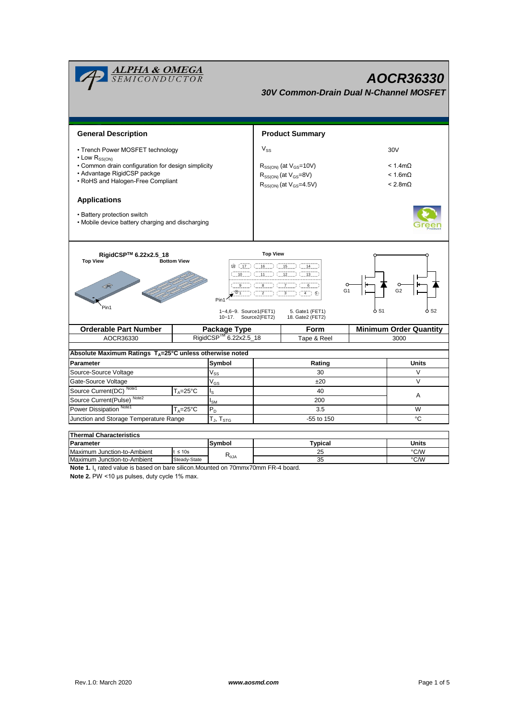| <b>ALPHA &amp; OMEGA</b><br>SEMICONDUCTOR<br>30V Common-Drain Dual N-Channel MOSFET                                                                                                                                                                                                                                                                              |                     |                                                   |                        |                                                                                                         |                                                            | AOCR36330                     |  |
|------------------------------------------------------------------------------------------------------------------------------------------------------------------------------------------------------------------------------------------------------------------------------------------------------------------------------------------------------------------|---------------------|---------------------------------------------------|------------------------|---------------------------------------------------------------------------------------------------------|------------------------------------------------------------|-------------------------------|--|
| <b>General Description</b>                                                                                                                                                                                                                                                                                                                                       |                     |                                                   | <b>Product Summary</b> |                                                                                                         |                                                            |                               |  |
| • Trench Power MOSFET technology<br>$\cdot$ Low R <sub>SS(ON)</sub>                                                                                                                                                                                                                                                                                              |                     |                                                   | $V_{SS}$               |                                                                                                         |                                                            | 30V                           |  |
| • Common drain configuration for design simplicity<br>• Advantage RigidCSP packge<br>• RoHS and Halogen-Free Compliant                                                                                                                                                                                                                                           |                     |                                                   |                        | $R_{SS(ON)}$ (at $V_{GS}$ =10V)<br>$R_{SS(ON)}$ (at $V_{GS}=8V$ )<br>$R_{SS(ON)}$ (at $V_{GS} = 4.5V$ ) | $< 1.4$ m $\Omega$<br>$< 1.6$ m $\Omega$<br>$< 2.8m\Omega$ |                               |  |
| <b>Applications</b><br>• Battery protection switch<br>• Mobile device battery charging and discharging                                                                                                                                                                                                                                                           |                     |                                                   |                        |                                                                                                         |                                                            |                               |  |
| RigidCSP™ 6.22x2.5_18<br><b>Top View</b><br><b>Top View</b><br><b>Bottom View</b><br>$\overline{18}$ (17) (1611) (1511) (14<br>$\overline{10}$ ( $\overline{11}$ ) ( $\overline{12}$ ) ( $\overline{13}$ )<br>$\circ$<br>8<br>G <sub>2</sub><br>$(4)$ 5<br>Pin1<br>Pin1<br>1~4,6~9. Source1(FET1)<br>5. Gate1 (FET1)<br>10~17. Source2(FET2)<br>18. Gate2 (FET2) |                     |                                                   |                        |                                                                                                         |                                                            |                               |  |
| <b>Orderable Part Number</b>                                                                                                                                                                                                                                                                                                                                     |                     |                                                   |                        | <b>Form</b>                                                                                             |                                                            | <b>Minimum Order Quantity</b> |  |
| AOCR36330                                                                                                                                                                                                                                                                                                                                                        |                     | Package Type<br>RigidCSP <sup>™</sup> 6.22x2.5_18 |                        | Tape & Reel                                                                                             |                                                            | 3000                          |  |
| Absolute Maximum Ratings $T_A = 25^\circ C$ unless otherwise noted                                                                                                                                                                                                                                                                                               |                     |                                                   |                        |                                                                                                         |                                                            |                               |  |
| Parameter                                                                                                                                                                                                                                                                                                                                                        |                     | Symbol                                            |                        | Rating                                                                                                  |                                                            | <b>Units</b>                  |  |
| Source-Source Voltage                                                                                                                                                                                                                                                                                                                                            |                     | $V_{SS}$                                          |                        | 30                                                                                                      |                                                            | $\vee$                        |  |
| Gate-Source Voltage                                                                                                                                                                                                                                                                                                                                              |                     | $V_{GS}$                                          |                        | ±20                                                                                                     |                                                            | $\vee$                        |  |
| Source Current(DC) Note1<br>$T_{\scriptscriptstyle{\text{A}}}=25^{\circ}\text{C}$                                                                                                                                                                                                                                                                                |                     | ls                                                |                        | 40                                                                                                      |                                                            | A                             |  |
| Source Current(Pulse) <sup>Note2</sup>                                                                                                                                                                                                                                                                                                                           |                     | $I_{\mathsf{SM}}$                                 |                        | 200                                                                                                     |                                                            |                               |  |
| Power Dissipation Note1                                                                                                                                                                                                                                                                                                                                          | $T_A = 25^{\circ}C$ | $P_D$                                             | 3.5                    |                                                                                                         |                                                            | W                             |  |
| Junction and Storage Temperature Range                                                                                                                                                                                                                                                                                                                           |                     | $T_J$ , $T_{STG}$                                 |                        | -55 to 150                                                                                              |                                                            | °C                            |  |
| <b>Thermal Characteristics</b>                                                                                                                                                                                                                                                                                                                                   |                     |                                                   |                        |                                                                                                         |                                                            |                               |  |

| i nermai Unaracteristics    |              |                |         |       |  |  |  |
|-----------------------------|--------------|----------------|---------|-------|--|--|--|
| Parameter                   |              | Svmbol         | Typical | Units |  |  |  |
| Maximum Junction-to-Ambient | $\leq 10s$   |                | ້       | °C/W  |  |  |  |
| Maximum Junction-to-Ambient | Steady-State | $R_{\theta$ JA | ບປ      | °C/W  |  |  |  |

Note 1. I<sub>s</sub> rated value is based on bare silicon.Mounted on 70mmx70mm FR-4 board.

**Note 2.** PW <10 μs pulses, duty cycle 1% max.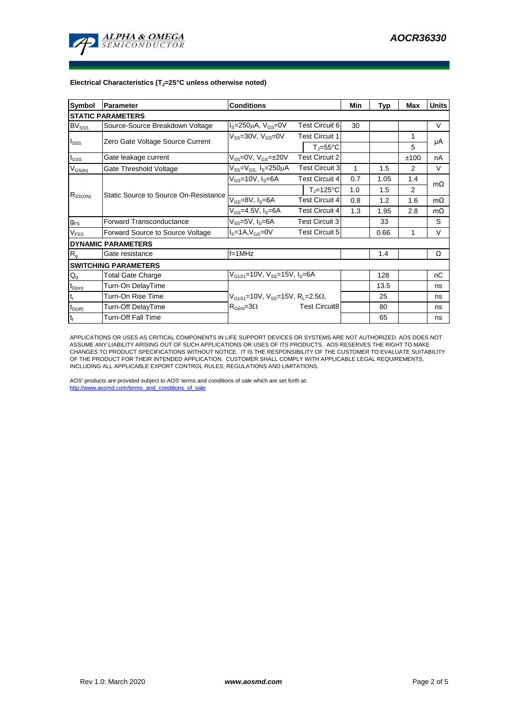

## **Electrical Characteristics (TJ=25°C unless otherwise noted)**

| Symbol                   | <b>Conditions</b><br>Parameter        |                                                                |                               |     | Typ  | Max  | <b>Units</b> |  |  |  |
|--------------------------|---------------------------------------|----------------------------------------------------------------|-------------------------------|-----|------|------|--------------|--|--|--|
| <b>STATIC PARAMETERS</b> |                                       |                                                                |                               |     |      |      |              |  |  |  |
| <b>BV</b> sss            | Source-Source Breakdown Voltage       | $I_S = 250 \mu A$ , $V_{GS} = 0V$                              | Test Circuit 6                | 30  |      |      | $\vee$       |  |  |  |
| I <sub>SSS</sub>         | Zero Gate Voltage Source Current      | $V_{SS}$ =30V, $V_{GS}$ =0V                                    | <b>Test Circuit 1</b>         |     |      | 1    |              |  |  |  |
|                          |                                       |                                                                | $T_{\parallel} = 55^{\circ}C$ |     |      | 5    | μA           |  |  |  |
| $I_{GSS}$                | Gate leakage current                  | $V_{SS} = 0V$ , $V_{GS} = \pm 20V$<br><b>Test Circuit 2</b>    |                               |     |      | ±100 | nA           |  |  |  |
| $V_{GS(th)}$             | Gate Threshold Voltage                | $V_{SS} = V_{GS}$ , I <sub>S</sub> =250µA                      | <b>Test Circuit 3</b>         | 1   | 1.5  | 2    | V            |  |  |  |
| $R_{SS(ON)}$             |                                       | $V_{GS}$ =10V, I <sub>S</sub> =6A                              | <b>Test Circuit 4</b>         | 0.7 | 1.05 | 1.4  | $m\Omega$    |  |  |  |
|                          | Static Source to Source On-Resistance |                                                                | $T_{\parallel}$ =125°C        | 1.0 | 1.5  | 2    |              |  |  |  |
|                          |                                       | $V_{GS}$ =8V, Is=6A                                            | <b>Test Circuit 4</b>         | 0.8 | 1.2  | 1.6  | $m\Omega$    |  |  |  |
|                          |                                       | $V_{GS}$ =4.5V, I <sub>S</sub> =6A                             | <b>Test Circuit 4</b>         | 1.3 | 1.95 | 2.8  | $m\Omega$    |  |  |  |
| $g_{FS}$                 | Forward Transconductance              | $V_{SS} = 5V$ , $I_S = 6A$<br><b>Test Circuit 3</b>            |                               |     | 33   |      | S            |  |  |  |
| $V_{\text{FSS}}$         | Forward Source to Source Voltage      | $IS=1A, VGS=0V$<br>Test Circuit 5                              |                               |     | 0.66 | 1    | $\vee$       |  |  |  |
|                          | <b>DYNAMIC PARAMETERS</b>             |                                                                |                               |     |      |      |              |  |  |  |
| $R_{q}$                  | Gate resistance                       | $f=1$ MHz                                                      |                               |     | 1.4  |      | Ω            |  |  |  |
|                          | <b>SWITCHING PARAMETERS</b>           |                                                                |                               |     |      |      |              |  |  |  |
| $Q_g$                    | <b>Total Gate Charge</b>              | $V_{G1S1}$ =10V, $V_{SS}$ =15V, I <sub>S</sub> =6A             |                               | 128 |      | nC   |              |  |  |  |
| $t_{D(on)}$              | Turn-On DelayTime                     |                                                                |                               |     | 13.5 |      | ns           |  |  |  |
| t,                       | Turn-On Rise Time                     | $V_{G1S1}$ =10V, $V_{SS}$ =15V, R <sub>L</sub> =2.5 $\Omega$ , |                               |     | 25   |      | ns           |  |  |  |
| $t_{D(off)}$             | Turn-Off DelayTime                    | $R_{\text{GEN}} = 3\Omega$                                     | <b>Test Circuit8</b>          |     | 80   |      | ns           |  |  |  |
| t <sub>f</sub>           | Turn-Off Fall Time                    |                                                                |                               |     | 65   |      | ns           |  |  |  |

APPLICATIONS OR USES AS CRITICAL COMPONENTS IN LIFE SUPPORT DEVICES OR SYSTEMS ARE NOT AUTHORIZED. AOS DOES NOT ASSUME ANY LIABILITY ARISING OUT OF SUCH APPLICATIONS OR USES OF ITS PRODUCTS. AOS RESERVES THE RIGHT TO MAKE CHANGES TO PRODUCT SPECIFICATIONS WITHOUT NOTICE. IT IS THE RESPONSIBILITY OF THE CUSTOMER TO EVALUATE SUITABILITY OF THE PRODUCT FOR THEIR INTENDED APPLICATION. CUSTOMER SHALL COMPLY WITH APPLICABLE LEGAL REQUIREMENTS, INCLUDING ALL APPLICABLE EXPORT CONTROL RULES, REGULATIONS AND LIMITATIONS.

AOS' products are provided subject to AOS' terms and conditions of sale which are set forth at: http://www.aosmd.com/terms\_and\_conditions\_of\_sale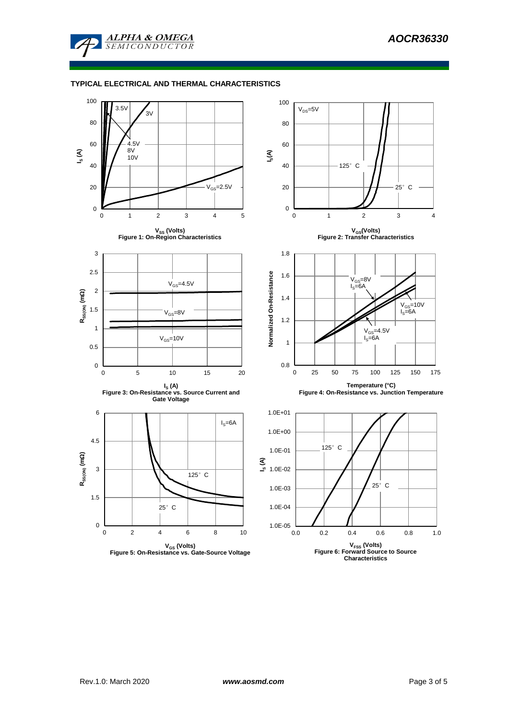

## **TYPICAL ELECTRICAL AND THERMAL CHARACTERISTICS**

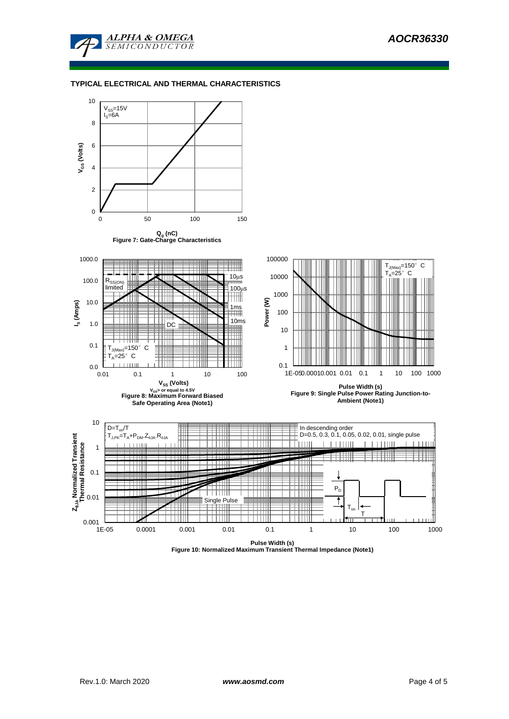

## **TYPICAL ELECTRICAL AND THERMAL CHARACTERISTICS**



**Figure 10: Normalized Maximum Transient Thermal Impedance (Note1)**